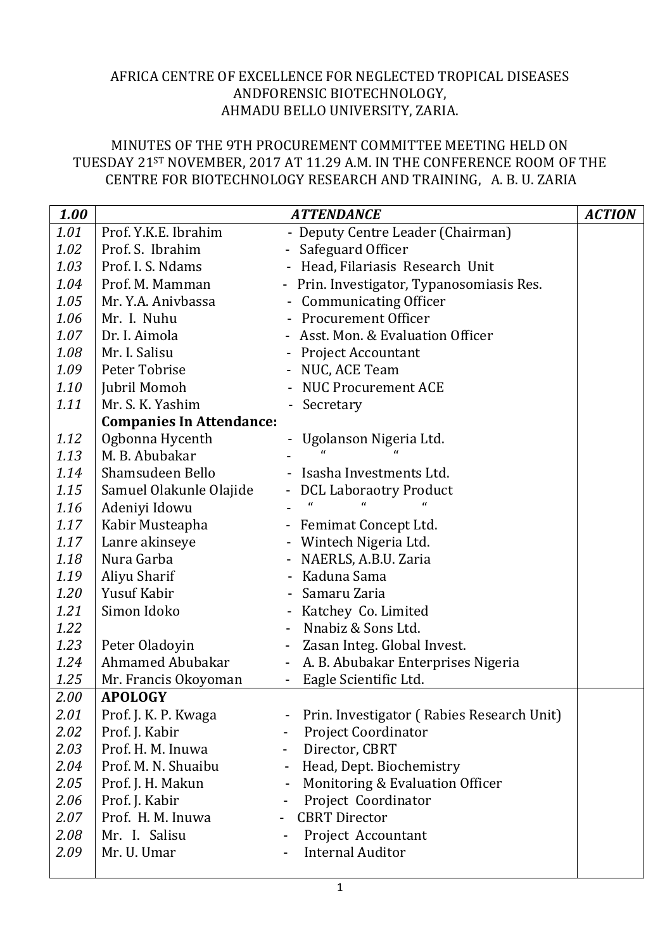## AFRICA CENTRE OF EXCELLENCE FOR NEGLECTED TROPICAL DISEASES ANDFORENSIC BIOTECHNOLOGY, AHMADU BELLO UNIVERSITY, ZARIA.

## MINUTES OF THE 9TH PROCUREMENT COMMITTEE MEETING HELD ON TUESDAY 21ST NOVEMBER, 2017 AT 11.29 A.M. IN THE CONFERENCE ROOM OF THE CENTRE FOR BIOTECHNOLOGY RESEARCH AND TRAINING, A. B. U. ZARIA

| 1.00 |                                 | <b>ATTENDANCE</b>                                              | <b>ACTION</b> |
|------|---------------------------------|----------------------------------------------------------------|---------------|
| 1.01 | Prof. Y.K.E. Ibrahim            | - Deputy Centre Leader (Chairman)                              |               |
| 1.02 | Prof. S. Ibrahim                | - Safeguard Officer                                            |               |
| 1.03 | Prof. I. S. Ndams               | - Head, Filariasis Research Unit                               |               |
| 1.04 | Prof. M. Mamman                 | - Prin. Investigator, Typanosomiasis Res.                      |               |
| 1.05 | Mr. Y.A. Anivbassa              | - Communicating Officer                                        |               |
| 1.06 | Mr. I. Nuhu                     | - Procurement Officer                                          |               |
| 1.07 | Dr. I. Aimola                   | - Asst. Mon. & Evaluation Officer                              |               |
| 1.08 | Mr. I. Salisu                   | - Project Accountant                                           |               |
| 1.09 | Peter Tobrise                   | - NUC, ACE Team                                                |               |
| 1.10 | Jubril Momoh                    | - NUC Procurement ACE                                          |               |
| 1.11 | Mr. S. K. Yashim                | Secretary                                                      |               |
|      | <b>Companies In Attendance:</b> |                                                                |               |
| 1.12 | Ogbonna Hycenth                 | Ugolanson Nigeria Ltd.                                         |               |
| 1.13 | M. B. Abubakar                  |                                                                |               |
| 1.14 | Shamsudeen Bello                | - Isasha Investments Ltd.                                      |               |
| 1.15 | Samuel Olakunle Olajide         | - DCL Laboraotry Product                                       |               |
| 1.16 | Adeniyi Idowu                   | $\epsilon$                                                     |               |
| 1.17 | Kabir Musteapha                 | - Femimat Concept Ltd.                                         |               |
| 1.17 | Lanre akinseye                  | - Wintech Nigeria Ltd.                                         |               |
| 1.18 | Nura Garba                      | - NAERLS, A.B.U. Zaria                                         |               |
| 1.19 | Aliyu Sharif                    | - Kaduna Sama                                                  |               |
| 1.20 | Yusuf Kabir                     | Samaru Zaria                                                   |               |
| 1.21 | Simon Idoko                     | - Katchey Co. Limited                                          |               |
| 1.22 |                                 | Nnabiz & Sons Ltd.                                             |               |
| 1.23 | Peter Oladoyin                  | Zasan Integ. Global Invest.                                    |               |
| 1.24 | <b>Ahmamed Abubakar</b>         | A. B. Abubakar Enterprises Nigeria<br>$\overline{\phantom{a}}$ |               |
| 1.25 | Mr. Francis Okoyoman            | Eagle Scientific Ltd.                                          |               |
| 2.00 | <b>APOLOGY</b>                  |                                                                |               |
| 2.01 | Prof. J. K. P. Kwaga            | Prin. Investigator (Rabies Research Unit)                      |               |
| 2.02 | Prof. J. Kabir                  | <b>Project Coordinator</b>                                     |               |
| 2.03 | Prof. H. M. Inuwa               | Director, CBRT<br>$\overline{\phantom{a}}$                     |               |
| 2.04 | Prof. M. N. Shuaibu             | Head, Dept. Biochemistry<br>$\overline{\phantom{a}}$           |               |
| 2.05 | Prof. J. H. Makun               | Monitoring & Evaluation Officer                                |               |
| 2.06 | Prof. J. Kabir                  | Project Coordinator                                            |               |
| 2.07 | Prof. H. M. Inuwa               | <b>CBRT</b> Director                                           |               |
| 2.08 | Mr. I. Salisu                   | Project Accountant                                             |               |
| 2.09 | Mr. U. Umar                     | <b>Internal Auditor</b>                                        |               |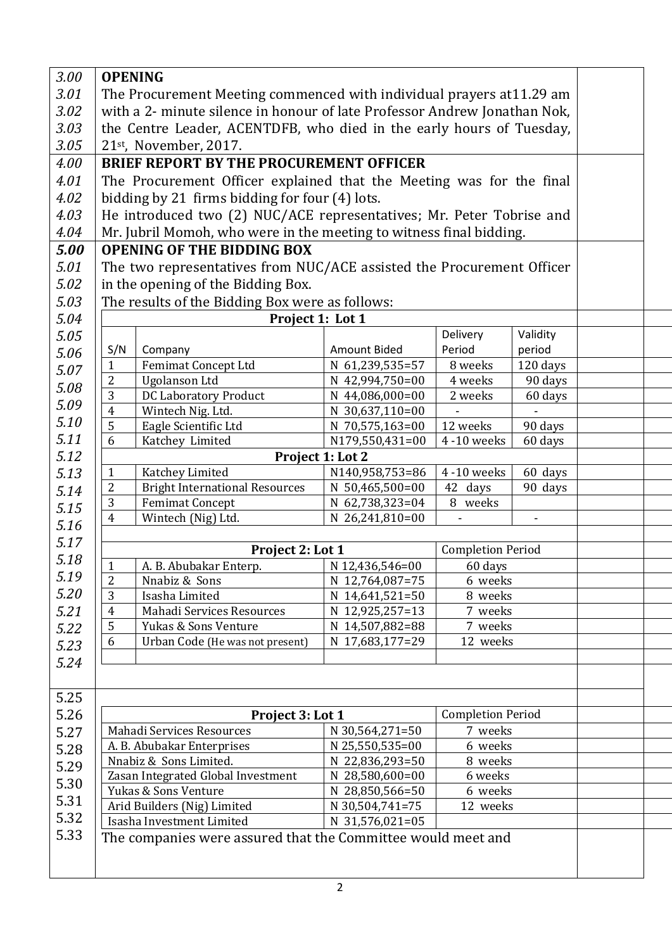| 3.00 | <b>OPENING</b>                                                      |                                                                           |                     |                          |          |  |  |
|------|---------------------------------------------------------------------|---------------------------------------------------------------------------|---------------------|--------------------------|----------|--|--|
| 3.01 |                                                                     | The Procurement Meeting commenced with individual prayers at 11.29 am     |                     |                          |          |  |  |
| 3.02 |                                                                     | with a 2- minute silence in honour of late Professor Andrew Jonathan Nok, |                     |                          |          |  |  |
| 3.03 |                                                                     | the Centre Leader, ACENTDFB, who died in the early hours of Tuesday,      |                     |                          |          |  |  |
| 3.05 |                                                                     | $21st$ , November, 2017.                                                  |                     |                          |          |  |  |
|      |                                                                     |                                                                           |                     |                          |          |  |  |
| 4.00 |                                                                     | <b>BRIEF REPORT BY THE PROCUREMENT OFFICER</b>                            |                     |                          |          |  |  |
| 4.01 |                                                                     | The Procurement Officer explained that the Meeting was for the final      |                     |                          |          |  |  |
| 4.02 |                                                                     | bidding by 21 firms bidding for four (4) lots.                            |                     |                          |          |  |  |
| 4.03 |                                                                     | He introduced two (2) NUC/ACE representatives; Mr. Peter Tobrise and      |                     |                          |          |  |  |
| 4.04 | Mr. Jubril Momoh, who were in the meeting to witness final bidding. |                                                                           |                     |                          |          |  |  |
| 5.00 |                                                                     | <b>OPENING OF THE BIDDING BOX</b>                                         |                     |                          |          |  |  |
| 5.01 |                                                                     | The two representatives from NUC/ACE assisted the Procurement Officer     |                     |                          |          |  |  |
| 5.02 |                                                                     | in the opening of the Bidding Box.                                        |                     |                          |          |  |  |
| 5.03 | The results of the Bidding Box were as follows:                     |                                                                           |                     |                          |          |  |  |
| 5.04 |                                                                     | Project 1: Lot 1                                                          |                     |                          |          |  |  |
| 5.05 |                                                                     |                                                                           |                     | Delivery                 | Validity |  |  |
| 5.06 | S/N                                                                 | Company                                                                   | <b>Amount Bided</b> | Period                   | period   |  |  |
|      | $\mathbf{1}$                                                        | Femimat Concept Ltd                                                       | N 61,239,535=57     | 8 weeks                  | 120 days |  |  |
| 5.07 | $\overline{2}$                                                      | <b>Ugolanson Ltd</b>                                                      | N 42,994,750=00     | 4 weeks                  | 90 days  |  |  |
| 5.08 | 3                                                                   | <b>DC Laboratory Product</b>                                              | N 44,086,000=00     | 2 weeks                  | 60 days  |  |  |
| 5.09 | $\overline{4}$                                                      | Wintech Nig. Ltd.                                                         | N 30,637,110=00     |                          |          |  |  |
| 5.10 | 5                                                                   | Eagle Scientific Ltd                                                      | N 70,575,163=00     | 12 weeks                 | 90 days  |  |  |
| 5.11 | 6                                                                   | Katchey Limited                                                           | N179,550,431=00     | 4 -10 weeks              | 60 days  |  |  |
| 5.12 |                                                                     |                                                                           | Project 1: Lot 2    |                          |          |  |  |
| 5.13 | $\mathbf{1}$                                                        | Katchey Limited                                                           | N140,958,753=86     | 4-10 weeks               | 60 days  |  |  |
| 5.14 | $\overline{2}$                                                      | <b>Bright International Resources</b>                                     | N 50,465,500=00     | 42 days                  | 90 days  |  |  |
| 5.15 | 3                                                                   | <b>Femimat Concept</b>                                                    | N 62,738,323=04     | 8 weeks                  |          |  |  |
| 5.16 | $\overline{4}$                                                      | Wintech (Nig) Ltd.                                                        | N 26,241,810=00     |                          |          |  |  |
| 5.17 |                                                                     |                                                                           |                     |                          |          |  |  |
| 5.18 |                                                                     | Project 2: Lot 1                                                          |                     | <b>Completion Period</b> |          |  |  |
|      | $\mathbf{1}$                                                        | A. B. Abubakar Enterp.                                                    | N 12,436,546=00     | 60 days                  |          |  |  |
| 5.19 | $\overline{2}$                                                      | Nnabiz & Sons                                                             | N 12,764,087=75     |                          | 6 weeks  |  |  |
| 5.20 | 3                                                                   | Isasha Limited                                                            | N 14,641,521=50     | 8 weeks                  |          |  |  |
| 5.21 | $\overline{4}$                                                      | Mahadi Services Resources                                                 | N 12,925,257=13     | 7 weeks                  |          |  |  |
| 5.22 | 5                                                                   | Yukas & Sons Venture                                                      | N 14,507,882=88     | 7 weeks                  |          |  |  |
| 5.23 | 6                                                                   | Urban Code (He was not present)                                           | N 17,683,177=29     | 12 weeks                 |          |  |  |
| 5.24 |                                                                     |                                                                           |                     |                          |          |  |  |
|      |                                                                     |                                                                           |                     |                          |          |  |  |
| 5.25 |                                                                     |                                                                           |                     |                          |          |  |  |
| 5.26 |                                                                     | Project 3: Lot 1                                                          |                     | <b>Completion Period</b> |          |  |  |
| 5.27 |                                                                     | Mahadi Services Resources                                                 | N 30,564,271=50     | 7 weeks                  |          |  |  |
|      |                                                                     | A. B. Abubakar Enterprises                                                | N 25,550,535=00     | 6 weeks                  |          |  |  |
| 5.28 | Nnabiz & Sons Limited.                                              |                                                                           | N 22,836,293=50     | 8 weeks                  |          |  |  |
| 5.29 |                                                                     | Zasan Integrated Global Investment                                        | N 28,580,600=00     | 6 weeks                  |          |  |  |
| 5.30 |                                                                     | Yukas & Sons Venture                                                      | N 28,850,566=50     | 6 weeks                  |          |  |  |
| 5.31 |                                                                     | Arid Builders (Nig) Limited                                               | N 30,504,741=75     | 12 weeks                 |          |  |  |
| 5.32 | Isasha Investment Limited<br>N 31,576,021=05                        |                                                                           |                     |                          |          |  |  |
| 5.33 | The companies were assured that the Committee would meet and        |                                                                           |                     |                          |          |  |  |
|      |                                                                     |                                                                           |                     |                          |          |  |  |
|      |                                                                     |                                                                           |                     |                          |          |  |  |